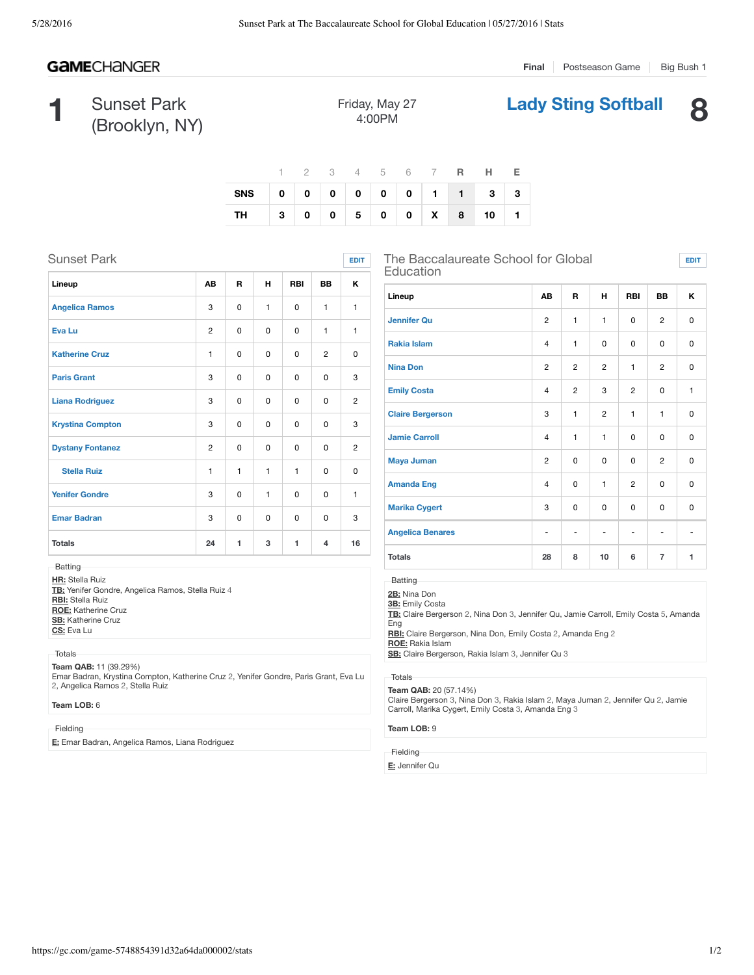# **GAMECHANGER**

**Final** Postseason Game | Big Bush 1

**Lady Sting Softball 8**

**EDIT**

**1** Sunset Park (Brooklyn, NY)

| Friday, May 27 |  |
|----------------|--|
| 4:00PM         |  |

|                         |  |  |  |  | 1 2 3 4 5 6 7 <b>R H E</b> |  |
|-------------------------|--|--|--|--|----------------------------|--|
| SNS 0 0 0 0 0 0 1 1 3 3 |  |  |  |  |                            |  |
| TH 300500X8101          |  |  |  |  |                            |  |

| <b>Sunset Park</b>      |                |              |              |             |              | <b>EDIT</b>    |
|-------------------------|----------------|--------------|--------------|-------------|--------------|----------------|
| Lineup                  | AB             | R            | н            | <b>RBI</b>  | <b>BB</b>    | κ              |
| <b>Angelica Ramos</b>   | 3              | 0            | $\mathbf{1}$ | $\Omega$    | $\mathbf{1}$ | $\mathbf{1}$   |
| <b>Eva Lu</b>           | 2              | 0            | $\mathbf 0$  | 0           | $\mathbf{1}$ | 1              |
| <b>Katherine Cruz</b>   | 1              | 0            | $\mathbf 0$  | 0           | 2            | 0              |
| <b>Paris Grant</b>      | 3              | $\Omega$     | 0            | 0           | $\Omega$     | 3              |
| <b>Liana Rodriguez</b>  | 3              | 0            | $\mathbf 0$  | 0           | 0            | $\overline{2}$ |
| <b>Krystina Compton</b> | 3              | 0            | 0            | $\Omega$    | $\Omega$     | 3              |
| <b>Dystany Fontanez</b> | $\overline{2}$ | 0            | $\Omega$     | $\Omega$    | $\Omega$     | $\overline{2}$ |
| <b>Stella Ruiz</b>      | $\mathbf{1}$   | $\mathbf{1}$ | 1            | 1           | 0            | $\Omega$       |
| <b>Yenifer Gondre</b>   | 3              | 0            | 1            | 0           | $\Omega$     | 1              |
| <b>Emar Badran</b>      | 3              | 0            | $\mathbf 0$  | $\mathbf 0$ | 0            | 3              |
| <b>Totals</b>           | 24             | 1            | 3            | 1           | 4            | 16             |
|                         |                |              |              |             |              |                |

**Batting** 

**HR:** Stella Ruiz **TB:** Yenifer Gondre, Angelica Ramos, Stella Ruiz 4 **RBI:** Stella Ruiz **ROE:** Katherine Cruz **SB:** Katherine Cruz **CS:** Eva Lu

Totals

**Team QAB:** 11 (39.29%)

Emar Badran, Krystina Compton, Katherine Cruz 2, Yenifer Gondre, Paris Grant, Eva Lu 2, Angelica Ramos 2, Stella Ruiz

### **Team LOB:** 6

Fielding

**E:** Emar Badran, Angelica Ramos, Liana Rodriguez

The Baccalaureate School for Global Education

| Lineup                  | AB                           | R              | н                            | <b>RBI</b>               | BB             | Κ           |
|-------------------------|------------------------------|----------------|------------------------------|--------------------------|----------------|-------------|
| <b>Jennifer Qu</b>      | $\overline{2}$               | $\mathbf{1}$   | $\mathbf{1}$                 | $\mathbf 0$              | $\overline{c}$ | $\mathbf 0$ |
| <b>Rakia Islam</b>      | $\overline{4}$               | $\mathbf{1}$   | 0                            | 0                        | $\mathbf 0$    | $\mathbf 0$ |
| <b>Nina Don</b>         | 2                            | $\overline{c}$ | $\overline{2}$               | $\mathbf{1}$             | $\overline{c}$ | $\mathbf 0$ |
| <b>Emily Costa</b>      | $\overline{4}$               | $\overline{c}$ | 3                            | $\overline{2}$           | $\mathbf 0$    | 1           |
| <b>Claire Bergerson</b> | 3                            | $\mathbf{1}$   | 2                            | $\mathbf{1}$             | $\mathbf{1}$   | $\mathbf 0$ |
| <b>Jamie Carroll</b>    | $\overline{4}$               | $\mathbf{1}$   | $\mathbf{1}$                 | 0                        | 0              | $\mathbf 0$ |
| <b>Maya Juman</b>       | $\overline{2}$               | 0              | 0                            | 0                        | $\overline{2}$ | 0           |
| <b>Amanda Eng</b>       | $\overline{4}$               | 0              | $\mathbf{1}$                 | $\overline{2}$           | 0              | 0           |
| <b>Marika Cygert</b>    | 3                            | 0              | $\Omega$                     | $\Omega$                 | $\mathbf 0$    | $\mathbf 0$ |
| <b>Angelica Benares</b> | $\qquad \qquad \blacksquare$ | ۰              | $\qquad \qquad \blacksquare$ | $\overline{\phantom{a}}$ | $\overline{a}$ | ۰           |
| <b>Totals</b>           | 28                           | 8              | 10                           | 6                        | $\overline{7}$ | 1           |

**Batting** 

**2B:** Nina Don

**3B:** Emily Costa

**TB:** Claire Bergerson 2, Nina Don 3, Jennifer Qu, Jamie Carroll, Emily Costa 5, Amanda Eng

**RBI:** Claire Bergerson, Nina Don, Emily Costa 2, Amanda Eng 2

**ROE:** Rakia Islam

**SB:** Claire Bergerson, Rakia Islam 3, Jennifer Qu 3

### Totals

**Team QAB:** 20 (57.14%)<br>Claire Bergerson 3, Nina Don 3, Rakia Islam 2, Maya Juman 2, Jennifer Qu 2, Jamie<br>Carroll, Marika Cygert, Emily Costa 3, Amanda Eng 3

### **Team LOB:** 9

Fielding

**E:** Jennifer Qu